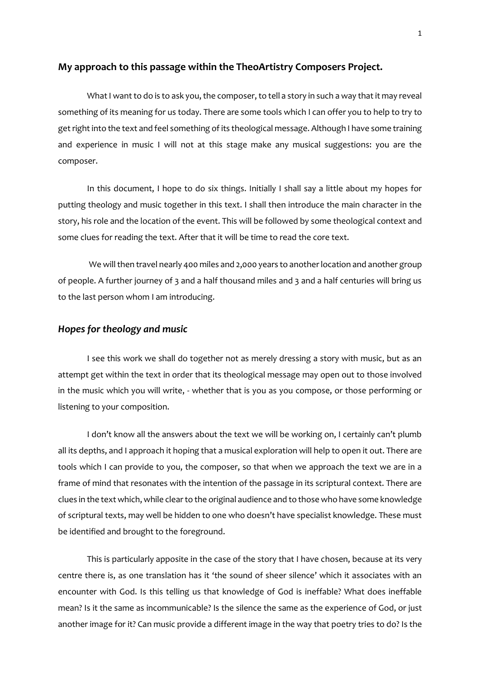# **My approach to this passage within the TheoArtistry Composers Project.**

What I want to do is to ask you, the composer, to tell a story in such a way that it may reveal something of its meaning for us today. There are some tools which I can offer you to help to try to get right into the text and feel something of its theological message. Although I have some training and experience in music I will not at this stage make any musical suggestions: you are the composer.

In this document, I hope to do six things. Initially I shall say a little about my hopes for putting theology and music together in this text. I shall then introduce the main character in the story, his role and the location of the event. This will be followed by some theological context and some clues for reading the text. After that it will be time to read the core text.

We will then travel nearly 400 miles and 2,000 years to another location and another group of people. A further journey of 3 and a half thousand miles and 3 and a half centuries will bring us to the last person whom I am introducing.

### *Hopes for theology and music*

I see this work we shall do together not as merely dressing a story with music, but as an attempt get within the text in order that its theological message may open out to those involved in the music which you will write, - whether that is you as you compose, or those performing or listening to your composition.

I don't know all the answers about the text we will be working on, I certainly can't plumb all its depths, and I approach it hoping that a musical exploration will help to open it out. There are tools which I can provide to you, the composer, so that when we approach the text we are in a frame of mind that resonates with the intention of the passage in its scriptural context. There are clues in the text which, while clear to the original audience and to those who have some knowledge of scriptural texts, may well be hidden to one who doesn't have specialist knowledge. These must be identified and brought to the foreground.

This is particularly apposite in the case of the story that I have chosen, because at its very centre there is, as one translation has it 'the sound of sheer silence' which it associates with an encounter with God. Is this telling us that knowledge of God is ineffable? What does ineffable mean? Is it the same as incommunicable? Is the silence the same as the experience of God, or just another image for it? Can music provide a different image in the way that poetry tries to do? Is the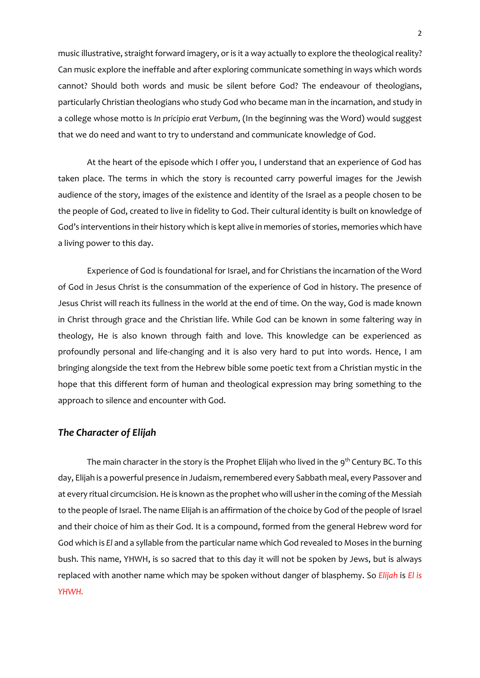music illustrative, straight forward imagery, or is it a way actually to explore the theologicalreality? Can music explore the ineffable and after exploring communicate something in ways which words cannot? Should both words and music be silent before God? The endeavour of theologians, particularly Christian theologians who study God who became man in the incarnation, and study in a college whose motto is *In pricipio erat Verbum*, (In the beginning was the Word) would suggest that we do need and want to try to understand and communicate knowledge of God.

At the heart of the episode which I offer you, I understand that an experience of God has taken place. The terms in which the story is recounted carry powerful images for the Jewish audience of the story, images of the existence and identity of the Israel as a people chosen to be the people of God, created to live in fidelity to God. Their cultural identity is built on knowledge of God's interventions in their history which is kept alive in memories of stories, memories which have a living power to this day.

Experience of God is foundational for Israel, and for Christians the incarnation of the Word of God in Jesus Christ is the consummation of the experience of God in history. The presence of Jesus Christ will reach its fullness in the world at the end of time. On the way, God is made known in Christ through grace and the Christian life. While God can be known in some faltering way in theology, He is also known through faith and love. This knowledge can be experienced as profoundly personal and life-changing and it is also very hard to put into words. Hence, I am bringing alongside the text from the Hebrew bible some poetic text from a Christian mystic in the hope that this different form of human and theological expression may bring something to the approach to silence and encounter with God.

### *The Character of Elijah*

The main character in the story is the Prophet Elijah who lived in the 9<sup>th</sup> Century BC. To this day, Elijah is a powerful presence in Judaism, remembered every Sabbath meal, every Passover and at every ritual circumcision. He is known as the prophet who will usher in the coming of the Messiah to the people of Israel. The name Elijah is an affirmation of the choice by God of the people of Israel and their choice of him as their God. It is a compound, formed from the general Hebrew word for God which is *El* and a syllable from the particular name which God revealed to Moses in the burning bush. This name, YHWH, is so sacred that to this day it will not be spoken by Jews, but is always replaced with another name which may be spoken without danger of blasphemy. So *Elijah* is *El is YHWH.*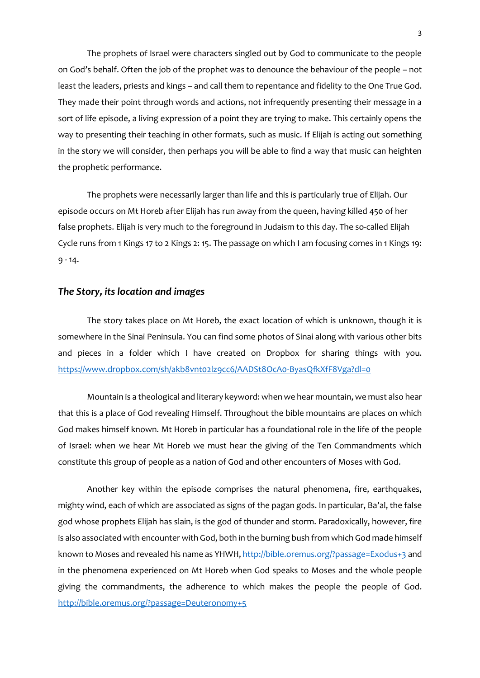The prophets of Israel were characters singled out by God to communicate to the people on God's behalf. Often the job of the prophet was to denounce the behaviour of the people – not least the leaders, priests and kings – and call them to repentance and fidelity to the One True God. They made their point through words and actions, not infrequently presenting their message in a sort of life episode, a living expression of a point they are trying to make. This certainly opens the way to presenting their teaching in other formats, such as music. If Elijah is acting out something in the story we will consider, then perhaps you will be able to find a way that music can heighten the prophetic performance.

The prophets were necessarily larger than life and this is particularly true of Elijah. Our episode occurs on Mt Horeb after Elijah has run away from the queen, having killed 450 of her false prophets. Elijah is very much to the foreground in Judaism to this day. The so-called Elijah Cycle runs from 1 Kings 17 to 2 Kings 2: 15. The passage on which I am focusing comes in 1 Kings 19: 9 - 14.

### *The Story, its location and images*

The story takes place on Mt Horeb, the exact location of which is unknown, though it is somewhere in the Sinai Peninsula. You can find some photos of Sinai along with various other bits and pieces in a folder which I have created on Dropbox for sharing things with you. <https://www.dropbox.com/sh/akb8vnt02lz9cc6/AADSt8OcA0-ByasQfkXfF8Vga?dl=0>

Mountain is a theological and literary keyword: when we hear mountain, we must also hear that this is a place of God revealing Himself. Throughout the bible mountains are places on which God makes himself known. Mt Horeb in particular has a foundational role in the life of the people of Israel: when we hear Mt Horeb we must hear the giving of the Ten Commandments which constitute this group of people as a nation of God and other encounters of Moses with God.

Another key within the episode comprises the natural phenomena, fire, earthquakes, mighty wind, each of which are associated as signs of the pagan gods. In particular, Ba'al, the false god whose prophets Elijah has slain, is the god of thunder and storm. Paradoxically, however, fire is also associated with encounter with God, both in the burning bush from which God made himself known to Moses and revealed his name as YHWH, [http://bible.oremus.org/?passage=Exodus+3](http://bible.oremus.org/?passage=Exodus+3%20) and in the phenomena experienced on Mt Horeb when God speaks to Moses and the whole people giving the commandments, the adherence to which makes the people the people of God. <http://bible.oremus.org/?passage=Deuteronomy+5>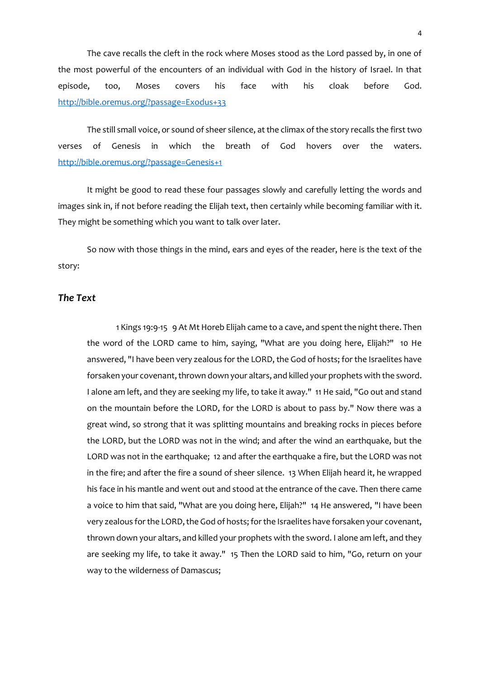The cave recalls the cleft in the rock where Moses stood as the Lord passed by, in one of the most powerful of the encounters of an individual with God in the history of Israel. In that episode, too, Moses covers his face with his cloak before God. <http://bible.oremus.org/?passage=Exodus+33>

The still small voice, or sound of sheer silence, at the climax of the story recalls the first two verses of Genesis in which the breath of God hovers over the waters. <http://bible.oremus.org/?passage=Genesis+1>

It might be good to read these four passages slowly and carefully letting the words and images sink in, if not before reading the Elijah text, then certainly while becoming familiar with it. They might be something which you want to talk over later.

So now with those things in the mind, ears and eyes of the reader, here is the text of the story:

# *The Text*

1 Kings 19:9-15 9 At Mt Horeb Elijah came to a cave, and spent the night there. Then the word of the LORD came to him, saying, "What are you doing here, Elijah?" 10 He answered, "I have been very zealous for the LORD, the God of hosts; for the Israelites have forsaken your covenant, thrown down your altars, and killed your prophets with the sword. I alone am left, and they are seeking my life, to take it away." 11 He said, "Go out and stand on the mountain before the LORD, for the LORD is about to pass by." Now there was a great wind, so strong that it was splitting mountains and breaking rocks in pieces before the LORD, but the LORD was not in the wind; and after the wind an earthquake, but the LORD was not in the earthquake; 12 and after the earthquake a fire, but the LORD was not in the fire; and after the fire a sound of sheer silence. 13 When Elijah heard it, he wrapped his face in his mantle and went out and stood at the entrance of the cave. Then there came a voice to him that said, "What are you doing here, Elijah?" 14 He answered, "I have been very zealous for the LORD, the God of hosts; for the Israelites have forsaken your covenant, thrown down your altars, and killed your prophets with the sword. I alone am left, and they are seeking my life, to take it away." 15 Then the LORD said to him, "Go, return on your way to the wilderness of Damascus;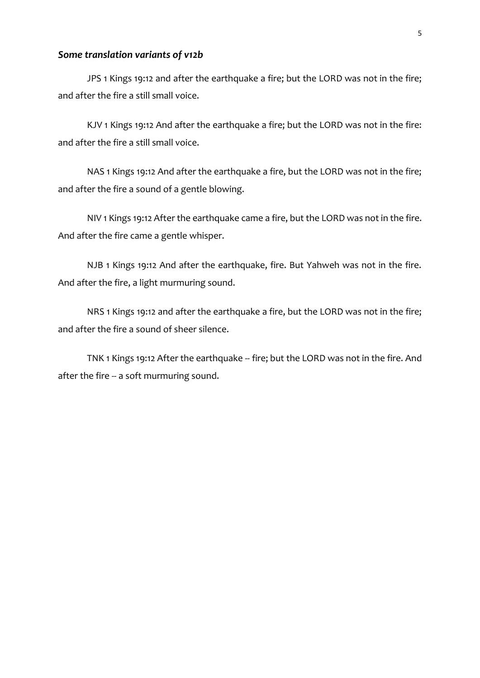# *Some translation variants of v12b*

JPS 1 Kings 19:12 and after the earthquake a fire; but the LORD was not in the fire; and after the fire a still small voice.

KJV 1 Kings 19:12 And after the earthquake a fire; but the LORD was not in the fire: and after the fire a still small voice.

NAS 1 Kings 19:12 And after the earthquake a fire, but the LORD was not in the fire; and after the fire a sound of a gentle blowing.

NIV 1 Kings 19:12 After the earthquake came a fire, but the LORD was not in the fire. And after the fire came a gentle whisper.

NJB 1 Kings 19:12 And after the earthquake, fire. But Yahweh was not in the fire. And after the fire, a light murmuring sound.

NRS 1 Kings 19:12 and after the earthquake a fire, but the LORD was not in the fire; and after the fire a sound of sheer silence.

TNK 1 Kings 19:12 After the earthquake -- fire; but the LORD was not in the fire. And after the fire -- a soft murmuring sound.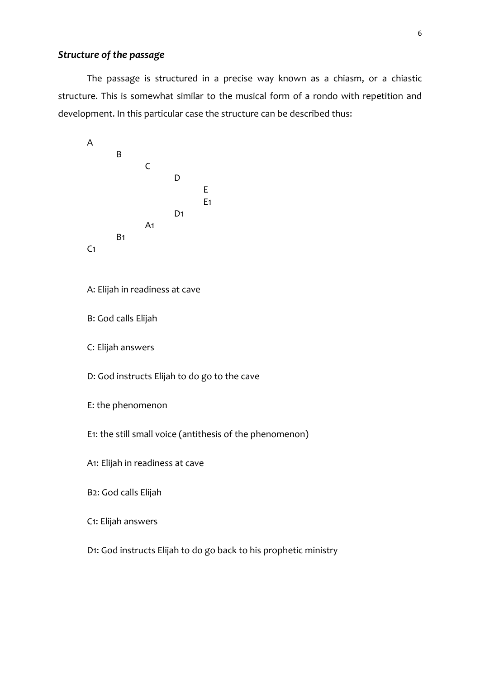# *Structure of the passage*

The passage is structured in a precise way known as a chiasm, or a chiastic structure. This is somewhat similar to the musical form of a rondo with repetition and development. In this particular case the structure can be described thus:



```
C1: Elijah answers
```
D1: God instructs Elijah to do go back to his prophetic ministry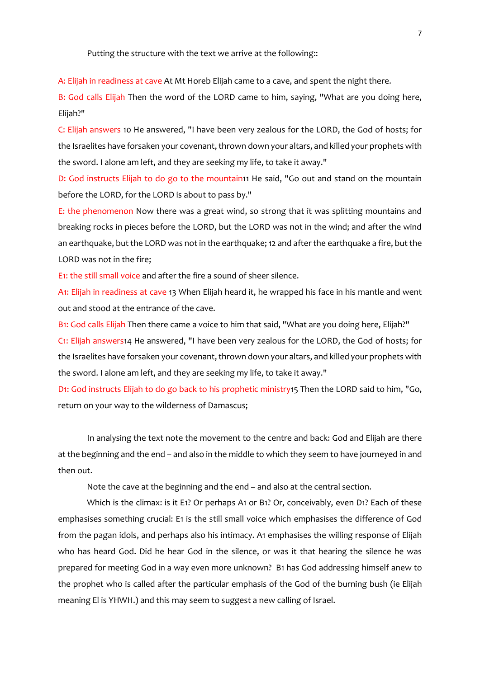Putting the structure with the text we arrive at the following::

A: Elijah in readiness at cave At Mt Horeb Elijah came to a cave, and spent the night there.

B: God calls Elijah Then the word of the LORD came to him, saying, "What are you doing here, Elijah?"

C: Elijah answers 10 He answered, "I have been very zealous for the LORD, the God of hosts; for the Israelites have forsaken your covenant, thrown down your altars, and killed your prophets with the sword. I alone am left, and they are seeking my life, to take it away."

D: God instructs Elijah to do go to the mountain11 He said, "Go out and stand on the mountain before the LORD, for the LORD is about to pass by."

E: the phenomenon Now there was a great wind, so strong that it was splitting mountains and breaking rocks in pieces before the LORD, but the LORD was not in the wind; and after the wind an earthquake, but the LORD was not in the earthquake; 12 and after the earthquake a fire, but the LORD was not in the fire;

E1: the still small voice and after the fire a sound of sheer silence.

A1: Elijah in readiness at cave 13 When Elijah heard it, he wrapped his face in his mantle and went out and stood at the entrance of the cave.

B1: God calls Elijah Then there came a voice to him that said, "What are you doing here, Elijah?" C1: Elijah answers14 He answered, "I have been very zealous for the LORD, the God of hosts; for the Israelites have forsaken your covenant, thrown down your altars, and killed your prophets with the sword. I alone am left, and they are seeking my life, to take it away."

D1: God instructs Elijah to do go back to his prophetic ministry15 Then the LORD said to him, "Go, return on your way to the wilderness of Damascus;

In analysing the text note the movement to the centre and back: God and Elijah are there at the beginning and the end – and also in the middle to which they seem to have journeyed in and then out.

Note the cave at the beginning and the end – and also at the central section.

Which is the climax: is it E1? Or perhaps A1 or B1? Or, conceivably, even D1? Each of these emphasises something crucial: E1 is the still small voice which emphasises the difference of God from the pagan idols, and perhaps also his intimacy. A1 emphasises the willing response of Elijah who has heard God. Did he hear God in the silence, or was it that hearing the silence he was prepared for meeting God in a way even more unknown? B1 has God addressing himself anew to the prophet who is called after the particular emphasis of the God of the burning bush (ie Elijah meaning El is YHWH.) and this may seem to suggest a new calling of Israel.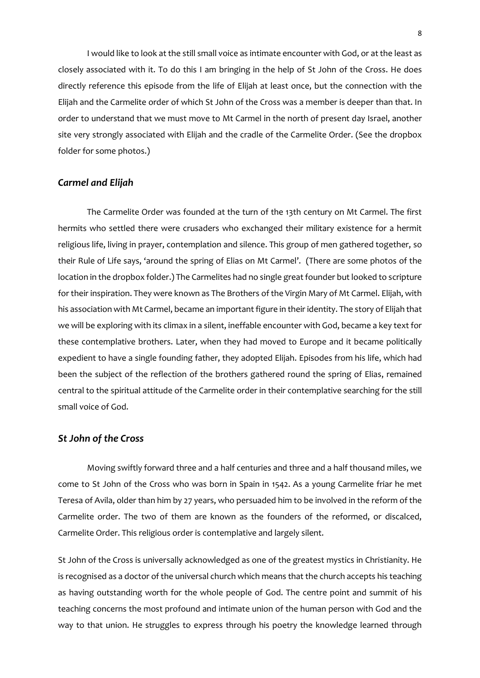I would like to look at the still small voice as intimate encounter with God, or at the least as closely associated with it. To do this I am bringing in the help of St John of the Cross. He does directly reference this episode from the life of Elijah at least once, but the connection with the Elijah and the Carmelite order of which St John of the Cross was a member is deeper than that. In order to understand that we must move to Mt Carmel in the north of present day Israel, another site very strongly associated with Elijah and the cradle of the Carmelite Order. (See the dropbox folder for some photos.)

### *Carmel and Elijah*

The Carmelite Order was founded at the turn of the 13th century on Mt Carmel. The first hermits who settled there were crusaders who exchanged their military existence for a hermit religious life, living in prayer, contemplation and silence. This group of men gathered together, so their Rule of Life says, 'around the spring of Elias on Mt Carmel'. (There are some photos of the location in the dropbox folder.) The Carmelites had no single great founder but looked to scripture for their inspiration. They were known as The Brothers of the Virgin Mary of Mt Carmel. Elijah, with his association with Mt Carmel, became an important figure in their identity. The story of Elijah that we will be exploring with its climax in a silent, ineffable encounter with God, became a key text for these contemplative brothers. Later, when they had moved to Europe and it became politically expedient to have a single founding father, they adopted Elijah. Episodes from his life, which had been the subject of the reflection of the brothers gathered round the spring of Elias, remained central to the spiritual attitude of the Carmelite order in their contemplative searching for the still small voice of God.

### *St John of the Cross*

Moving swiftly forward three and a half centuries and three and a half thousand miles, we come to St John of the Cross who was born in Spain in 1542. As a young Carmelite friar he met Teresa of Avila, older than him by 27 years, who persuaded him to be involved in the reform of the Carmelite order. The two of them are known as the founders of the reformed, or discalced, Carmelite Order. This religious order is contemplative and largely silent.

St John of the Cross is universally acknowledged as one of the greatest mystics in Christianity. He is recognised as a doctor of the universal church which means that the church accepts his teaching as having outstanding worth for the whole people of God. The centre point and summit of his teaching concerns the most profound and intimate union of the human person with God and the way to that union. He struggles to express through his poetry the knowledge learned through